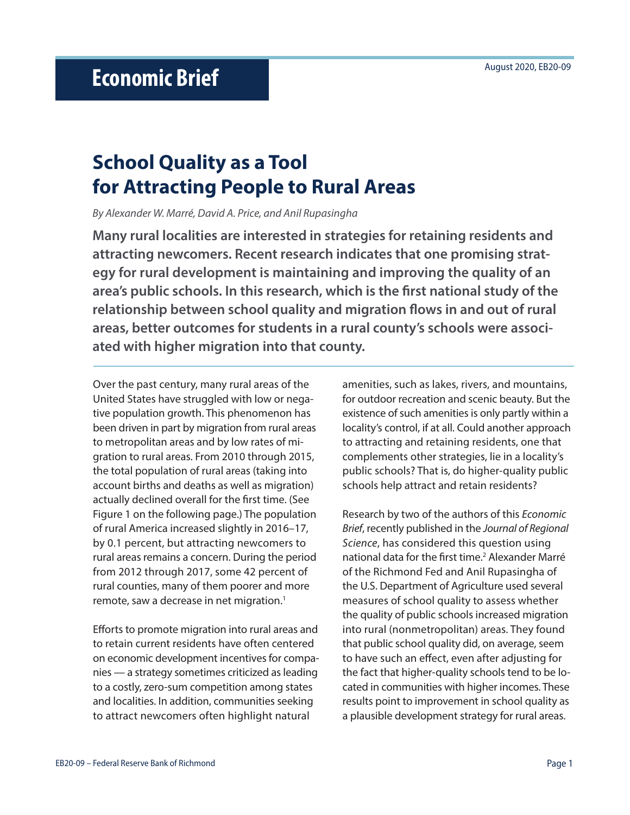# **School Quality as a Tool for Attracting People to Rural Areas**

*By Alexander W. Marré, David A. Price, and Anil Rupasingha*

**Many rural localities are interested in strategies for retaining residents and attracting newcomers. Recent research indicates that one promising strategy for rural development is maintaining and improving the quality of an area's public schools. In this research, which is the first national study of the relationship between school quality and migration flows in and out of rural areas, better outcomes for students in a rural county's schools were associated with higher migration into that county.**

Over the past century, many rural areas of the United States have struggled with low or negative population growth. This phenomenon has been driven in part by migration from rural areas to metropolitan areas and by low rates of migration to rural areas. From 2010 through 2015, the total population of rural areas (taking into account births and deaths as well as migration) actually declined overall for the first time. (See Figure 1 on the following page.) The population of rural America increased slightly in 2016–17, by 0.1 percent, but attracting newcomers to rural areas remains a concern. During the period from 2012 through 2017, some 42 percent of rural counties, many of them poorer and more remote, saw a decrease in net migration.<sup>1</sup>

Efforts to promote migration into rural areas and to retain current residents have often centered on economic development incentives for companies — a strategy sometimes criticized as leading to a costly, zero-sum competition among states and localities. In addition, communities seeking to attract newcomers often highlight natural

amenities, such as lakes, rivers, and mountains, for outdoor recreation and scenic beauty. But the existence of such amenities is only partly within a locality's control, if at all. Could another approach to attracting and retaining residents, one that complements other strategies, lie in a locality's public schools? That is, do higher-quality public schools help attract and retain residents?

Research by two of the authors of this *Economic Brief*, recently published in the *Journal of Regional Science*, has considered this question using national data for the first time.<sup>2</sup> Alexander Marré of the Richmond Fed and Anil Rupasingha of the U.S. Department of Agriculture used several measures of school quality to assess whether the quality of public schools increased migration into rural (nonmetropolitan) areas. They found that public school quality did, on average, seem to have such an effect, even after adjusting for the fact that higher-quality schools tend to be located in communities with higher incomes. These results point to improvement in school quality as a plausible development strategy for rural areas.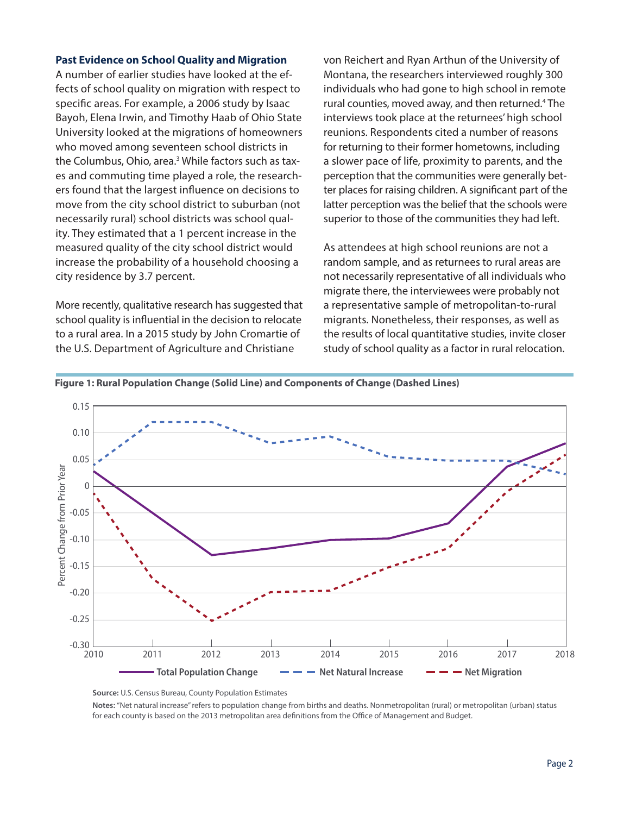### **Past Evidence on School Quality and Migration**

A number of earlier studies have looked at the effects of school quality on migration with respect to specific areas. For example, a 2006 study by Isaac Bayoh, Elena Irwin, and Timothy Haab of Ohio State University looked at the migrations of homeowners who moved among seventeen school districts in the Columbus, Ohio, area.<sup>3</sup> While factors such as taxes and commuting time played a role, the researchers found that the largest influence on decisions to move from the city school district to suburban (not necessarily rural) school districts was school quality. They estimated that a 1 percent increase in the measured quality of the city school district would increase the probability of a household choosing a city residence by 3.7 percent.

More recently, qualitative research has suggested that school quality is influential in the decision to relocate to a rural area. In a 2015 study by John Cromartie of the U.S. Department of Agriculture and Christiane

von Reichert and Ryan Arthun of the University of Montana, the researchers interviewed roughly 300 individuals who had gone to high school in remote rural counties, moved away, and then returned.<sup>4</sup> The interviews took place at the returnees' high school reunions. Respondents cited a number of reasons for returning to their former hometowns, including a slower pace of life, proximity to parents, and the perception that the communities were generally better places for raising children. A significant part of the latter perception was the belief that the schools were superior to those of the communities they had left.

As attendees at high school reunions are not a random sample, and as returnees to rural areas are not necessarily representative of all individuals who migrate there, the interviewees were probably not a representative sample of metropolitan-to-rural migrants. Nonetheless, their responses, as well as the results of local quantitative studies, invite closer study of school quality as a factor in rural relocation.





**Source:** U.S. Census Bureau, County Population Estimates

**Notes:** "Net natural increase" refers to population change from births and deaths. Nonmetropolitan (rural) or metropolitan (urban) status for each county is based on the 2013 metropolitan area definitions from the Office of Management and Budget.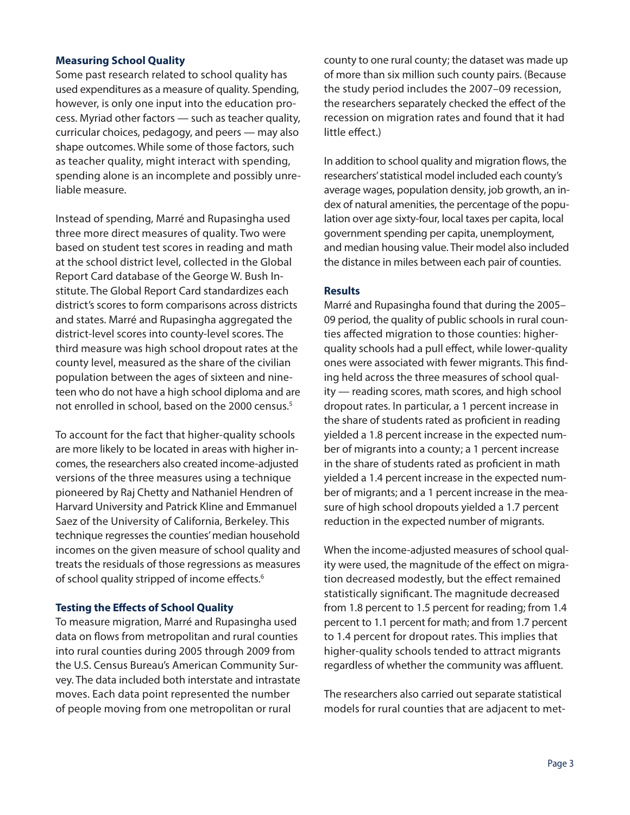## **Measuring School Quality**

Some past research related to school quality has used expenditures as a measure of quality. Spending, however, is only one input into the education process. Myriad other factors — such as teacher quality, curricular choices, pedagogy, and peers — may also shape outcomes. While some of those factors, such as teacher quality, might interact with spending, spending alone is an incomplete and possibly unreliable measure.

Instead of spending, Marré and Rupasingha used three more direct measures of quality. Two were based on student test scores in reading and math at the school district level, collected in the Global Report Card database of the George W. Bush Institute. The Global Report Card standardizes each district's scores to form comparisons across districts and states. Marré and Rupasingha aggregated the district-level scores into county-level scores. The third measure was high school dropout rates at the county level, measured as the share of the civilian population between the ages of sixteen and nineteen who do not have a high school diploma and are not enrolled in school, based on the 2000 census.<sup>5</sup>

To account for the fact that higher-quality schools are more likely to be located in areas with higher incomes, the researchers also created income-adjusted versions of the three measures using a technique pioneered by Raj Chetty and Nathaniel Hendren of Harvard University and Patrick Kline and Emmanuel Saez of the University of California, Berkeley. This technique regresses the counties' median household incomes on the given measure of school quality and treats the residuals of those regressions as measures of school quality stripped of income effects.<sup>6</sup>

## **Testing the Effects of School Quality**

To measure migration, Marré and Rupasingha used data on flows from metropolitan and rural counties into rural counties during 2005 through 2009 from the U.S. Census Bureau's American Community Survey. The data included both interstate and intrastate moves. Each data point represented the number of people moving from one metropolitan or rural

county to one rural county; the dataset was made up of more than six million such county pairs. (Because the study period includes the 2007–09 recession, the researchers separately checked the effect of the recession on migration rates and found that it had little effect.)

In addition to school quality and migration flows, the researchers' statistical model included each county's average wages, population density, job growth, an index of natural amenities, the percentage of the population over age sixty-four, local taxes per capita, local government spending per capita, unemployment, and median housing value. Their model also included the distance in miles between each pair of counties.

### **Results**

Marré and Rupasingha found that during the 2005– 09 period, the quality of public schools in rural counties affected migration to those counties: higherquality schools had a pull effect, while lower-quality ones were associated with fewer migrants. This finding held across the three measures of school quality — reading scores, math scores, and high school dropout rates. In particular, a 1 percent increase in the share of students rated as proficient in reading yielded a 1.8 percent increase in the expected number of migrants into a county; a 1 percent increase in the share of students rated as proficient in math yielded a 1.4 percent increase in the expected number of migrants; and a 1 percent increase in the measure of high school dropouts yielded a 1.7 percent reduction in the expected number of migrants.

When the income-adjusted measures of school quality were used, the magnitude of the effect on migration decreased modestly, but the effect remained statistically significant. The magnitude decreased from 1.8 percent to 1.5 percent for reading; from 1.4 percent to 1.1 percent for math; and from 1.7 percent to 1.4 percent for dropout rates. This implies that higher-quality schools tended to attract migrants regardless of whether the community was affluent.

The researchers also carried out separate statistical models for rural counties that are adjacent to met-